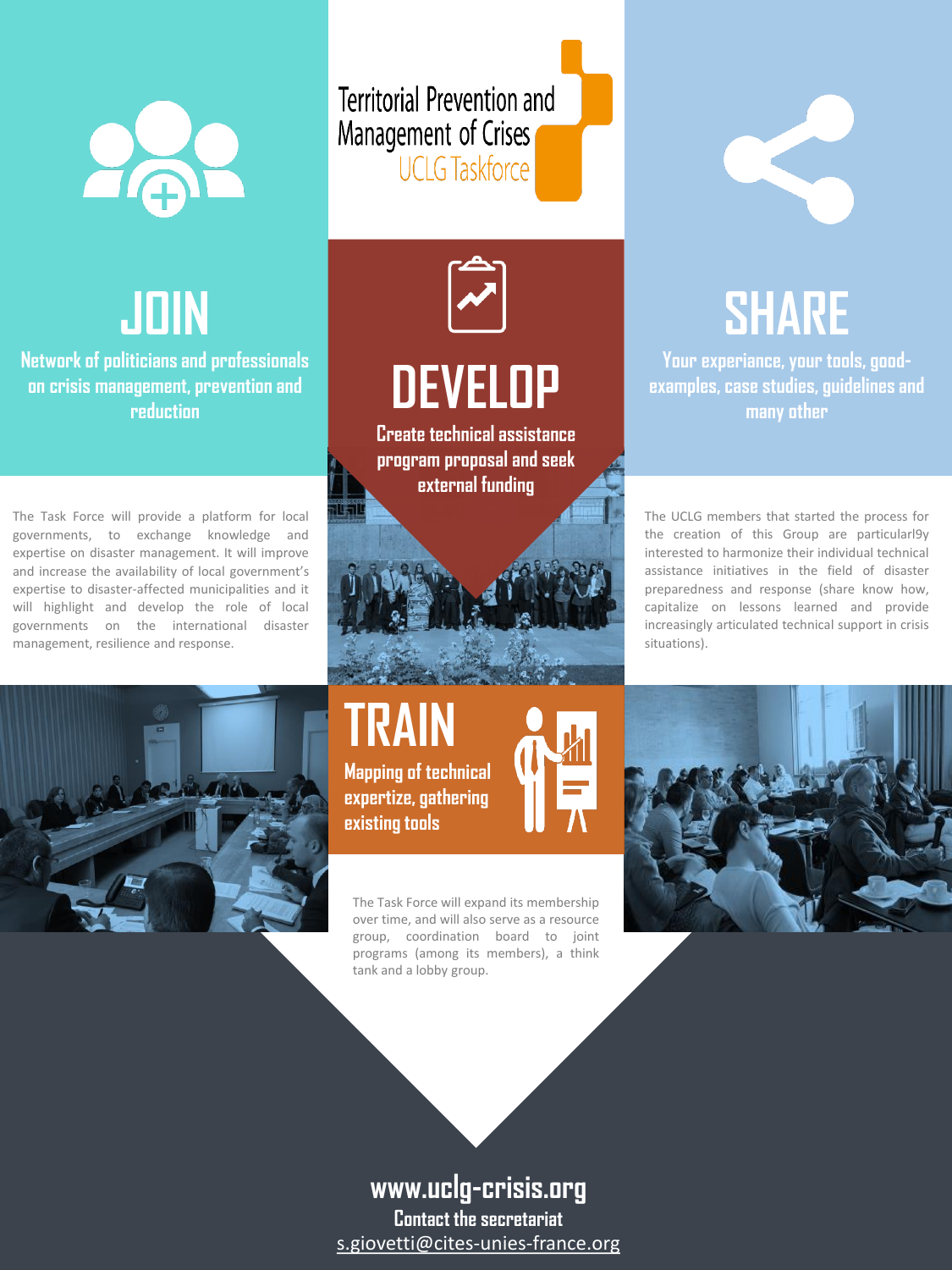

# **JOIN**

#### **Network of politicians and professionals on crisis management, prevention and reduction**

The Task Force will provide a platform for local governments, to exchange knowledge and expertise on disaster management. It will improve and increase the availability of local government's expertise to disaster-affected municipalities and it will highlight and develop the role of local governments on the international disaster management, resilience and response.

**Territorial Prevention and** Management of Crises<br>UCLG Taskforce



**Create technical assistance program proposal and seek external funding**





**TRAIN Mapping of technical expertize, gathering** 

**existing tools**

The Task Force will expand its membership over time, and will also serve as a resource group, coordination board to joint programs (among its members), a think tank and a lobby group.



# **SHARE**

**Your experiance, your tools, goodexamples, case studies, guidelinesand many other**

The UCLG members that started the process for the creation of this Group are particularl9y interested to harmonize their individual technical assistance initiatives in the field of disaster preparedness and response (share know how, capitalize on lessons learned and provide increasingly articulated technical support in crisis situations).



### **www.uclg-crisis.org**

**Contact the secretariat** s.giovetti@cites-unies-france.org